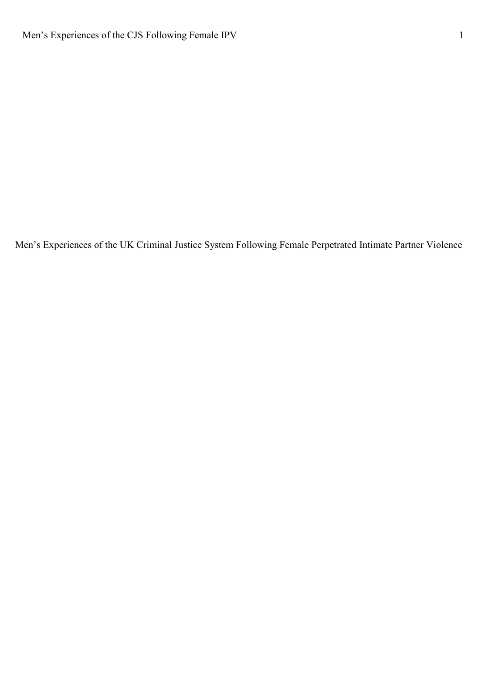Men's Experiences of the UK Criminal Justice System Following Female Perpetrated Intimate Partner Violence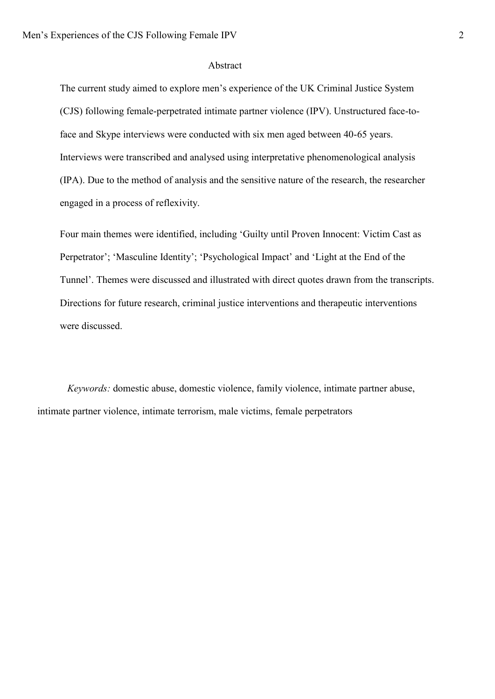#### Abstract

The current study aimed to explore men's experience of the UK Criminal Justice System (CJS) following female-perpetrated intimate partner violence (IPV). Unstructured face-toface and Skype interviews were conducted with six men aged between 40-65 years. Interviews were transcribed and analysed using interpretative phenomenological analysis (IPA). Due to the method of analysis and the sensitive nature of the research, the researcher engaged in a process of reflexivity.

Four main themes were identified, including 'Guilty until Proven Innocent: Victim Cast as Perpetrator'; 'Masculine Identity'; 'Psychological Impact' and 'Light at the End of the Tunnel'. Themes were discussed and illustrated with direct quotes drawn from the transcripts. Directions for future research, criminal justice interventions and therapeutic interventions were discussed.

*Keywords:* domestic abuse, domestic violence, family violence, intimate partner abuse, intimate partner violence, intimate terrorism, male victims, female perpetrators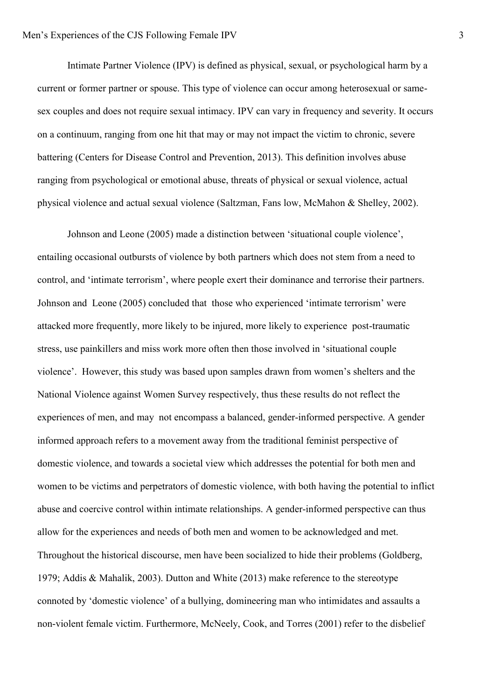Intimate Partner Violence (IPV) is defined as physical, sexual, or psychological harm by a current or former partner or spouse. This type of violence can occur among heterosexual or samesex couples and does not require sexual intimacy. IPV can vary in frequency and severity. It occurs on a continuum, ranging from one hit that may or may not impact the victim to chronic, severe battering (Centers for Disease Control and Prevention, 2013). This definition involves abuse ranging from psychological or emotional abuse, threats of physical or sexual violence, actual physical violence and actual sexual violence (Saltzman, Fans low, McMahon & Shelley, 2002).

Johnson and Leone (2005) made a distinction between 'situational couple violence', entailing occasional outbursts of violence by both partners which does not stem from a need to control, and 'intimate terrorism', where people exert their dominance and terrorise their partners. Johnson and Leone (2005) concluded that those who experienced 'intimate terrorism' were attacked more frequently, more likely to be injured, more likely to experience post-traumatic stress, use painkillers and miss work more often then those involved in 'situational couple violence'. However, this study was based upon samples drawn from women's shelters and the National Violence against Women Survey respectively, thus these results do not reflect the experiences of men, and may not encompass a balanced, gender-informed perspective. A gender informed approach refers to a movement away from the traditional feminist perspective of domestic violence, and towards a societal view which addresses the potential for both men and women to be victims and perpetrators of domestic violence, with both having the potential to inflict abuse and coercive control within intimate relationships. A gender-informed perspective can thus allow for the experiences and needs of both men and women to be acknowledged and met. Throughout the historical discourse, men have been socialized to hide their problems (Goldberg, 1979; Addis & Mahalik, 2003). Dutton and White (2013) make reference to the stereotype connoted by 'domestic violence' of a bullying, domineering man who intimidates and assaults a non-violent female victim. Furthermore, McNeely, Cook, and Torres (2001) refer to the disbelief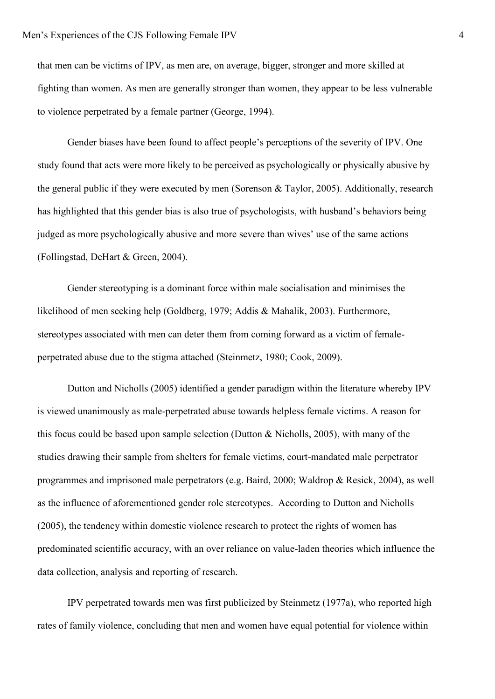that men can be victims of IPV, as men are, on average, bigger, stronger and more skilled at fighting than women. As men are generally stronger than women, they appear to be less vulnerable to violence perpetrated by a female partner (George, 1994).

Gender biases have been found to affect people's perceptions of the severity of IPV. One study found that acts were more likely to be perceived as psychologically or physically abusive by the general public if they were executed by men (Sorenson & Taylor, 2005). Additionally, research has highlighted that this gender bias is also true of psychologists, with husband's behaviors being judged as more psychologically abusive and more severe than wives' use of the same actions (Follingstad, DeHart & Green, 2004).

Gender stereotyping is a dominant force within male socialisation and minimises the likelihood of men seeking help (Goldberg, 1979; Addis & Mahalik, 2003). Furthermore, stereotypes associated with men can deter them from coming forward as a victim of femaleperpetrated abuse due to the stigma attached (Steinmetz, 1980; Cook, 2009).

Dutton and Nicholls (2005) identified a gender paradigm within the literature whereby IPV is viewed unanimously as male-perpetrated abuse towards helpless female victims. A reason for this focus could be based upon sample selection (Dutton & Nicholls, 2005), with many of the studies drawing their sample from shelters for female victims, court-mandated male perpetrator programmes and imprisoned male perpetrators (e.g. Baird, 2000; Waldrop & Resick, 2004), as well as the influence of aforementioned gender role stereotypes. According to Dutton and Nicholls (2005), the tendency within domestic violence research to protect the rights of women has predominated scientific accuracy, with an over reliance on value-laden theories which influence the data collection, analysis and reporting of research.

IPV perpetrated towards men was first publicized by Steinmetz (1977a), who reported high rates of family violence, concluding that men and women have equal potential for violence within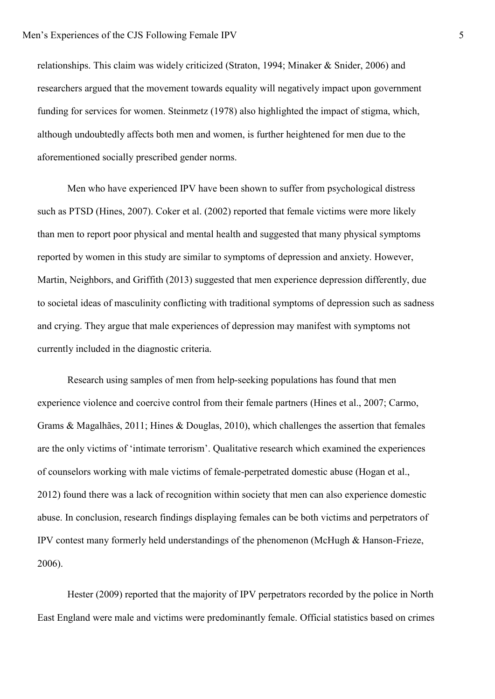relationships. This claim was widely criticized (Straton, 1994; Minaker & Snider, 2006) and researchers argued that the movement towards equality will negatively impact upon government funding for services for women. Steinmetz (1978) also highlighted the impact of stigma, which, although undoubtedly affects both men and women, is further heightened for men due to the aforementioned socially prescribed gender norms.

Men who have experienced IPV have been shown to suffer from psychological distress such as PTSD (Hines, 2007). Coker et al. (2002) reported that female victims were more likely than men to report poor physical and mental health and suggested that many physical symptoms reported by women in this study are similar to symptoms of depression and anxiety. However, Martin, Neighbors, and Griffith (2013) suggested that men experience depression differently, due to societal ideas of masculinity conflicting with traditional symptoms of depression such as sadness and crying. They argue that male experiences of depression may manifest with symptoms not currently included in the diagnostic criteria.

Research using samples of men from help-seeking populations has found that men experience violence and coercive control from their female partners (Hines et al., 2007; Carmo, Grams & Magalhães, 2011; Hines & Douglas, 2010), which challenges the assertion that females are the only victims of 'intimate terrorism'. Qualitative research which examined the experiences of counselors working with male victims of female-perpetrated domestic abuse (Hogan et al., 2012) found there was a lack of recognition within society that men can also experience domestic abuse. In conclusion, research findings displaying females can be both victims and perpetrators of IPV contest many formerly held understandings of the phenomenon (McHugh & Hanson-Frieze, 2006).

Hester (2009) reported that the majority of IPV perpetrators recorded by the police in North East England were male and victims were predominantly female. Official statistics based on crimes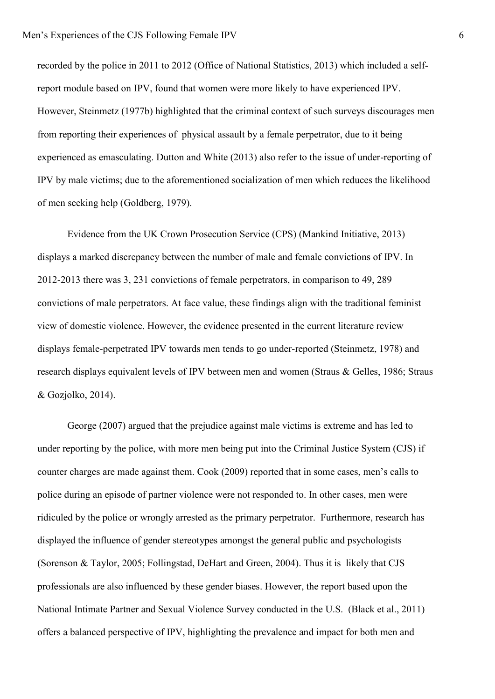recorded by the police in 2011 to 2012 (Office of National Statistics, 2013) which included a selfreport module based on IPV, found that women were more likely to have experienced IPV. However, Steinmetz (1977b) highlighted that the criminal context of such surveys discourages men from reporting their experiences of physical assault by a female perpetrator, due to it being experienced as emasculating. Dutton and White (2013) also refer to the issue of under-reporting of IPV by male victims; due to the aforementioned socialization of men which reduces the likelihood of men seeking help (Goldberg, 1979).

Evidence from the UK Crown Prosecution Service (CPS) (Mankind Initiative, 2013) displays a marked discrepancy between the number of male and female convictions of IPV. In 2012-2013 there was 3, 231 convictions of female perpetrators, in comparison to 49, 289 convictions of male perpetrators. At face value, these findings align with the traditional feminist view of domestic violence. However, the evidence presented in the current literature review displays female-perpetrated IPV towards men tends to go under-reported (Steinmetz, 1978) and research displays equivalent levels of IPV between men and women (Straus & Gelles, 1986; Straus & Gozjolko, 2014).

George (2007) argued that the prejudice against male victims is extreme and has led to under reporting by the police, with more men being put into the Criminal Justice System (CJS) if counter charges are made against them. Cook (2009) reported that in some cases, men's calls to police during an episode of partner violence were not responded to. In other cases, men were ridiculed by the police or wrongly arrested as the primary perpetrator. Furthermore, research has displayed the influence of gender stereotypes amongst the general public and psychologists (Sorenson & Taylor, 2005; Follingstad, DeHart and Green, 2004). Thus it is likely that CJS professionals are also influenced by these gender biases. However, the report based upon the National Intimate Partner and Sexual Violence Survey conducted in the U.S. (Black et al., 2011) offers a balanced perspective of IPV, highlighting the prevalence and impact for both men and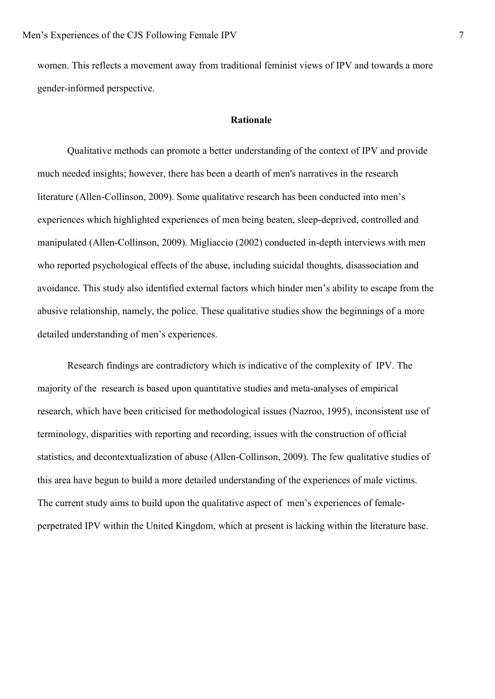women. This reflects a movement away from traditional feminist views of IPV and towards a more gender-informed perspective.

### **Rationale**

Qualitative methods can promote a better understanding of the context of IPV and provide much needed insights; however, there has been a dearth of men's narratives in the research literature (Allen-Collinson, 2009). Some qualitative research has been conducted into men's experiences which highlighted experiences of men being beaten, sleep-deprived, controlled and manipulated (Allen-Collinson, 2009). Migliaccio (2002) conducted in-depth interviews with men who reported psychological effects of the abuse, including suicidal thoughts, disassociation and avoidance. This study also identified external factors which hinder men's ability to escape from the abusive relationship, namely, the police. These qualitative studies show the beginnings of a more detailed understanding of men's experiences.

Research findings are contradictory which is indicative of the complexity of IPV. The majority of the research is based upon quantitative studies and meta-analyses of empirical research, which have been criticised for methodological issues (Nazroo, 1995), inconsistent use of terminology, disparities with reporting and recording, issues with the construction of official statistics, and decontextualization of abuse (Allen-Collinson, 2009). The few qualitative studies of this area have begun to build a more detailed understanding of the experiences of male victims. The current study aims to build upon the qualitative aspect of men's experiences of femaleperpetrated IPV within the United Kingdom, which at present is lacking within the literature base.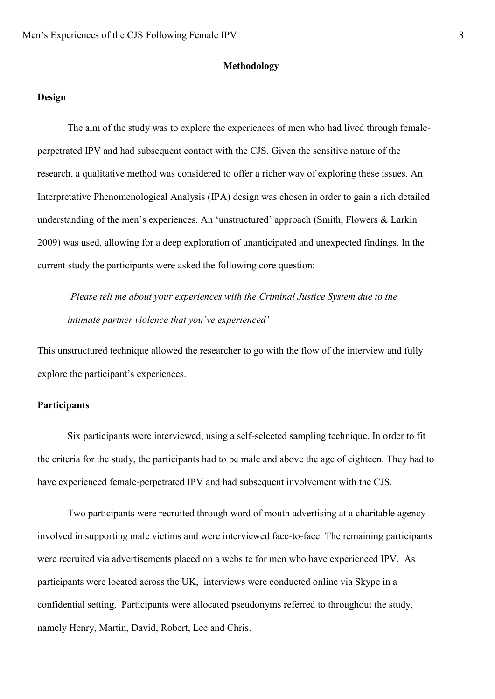#### **Methodology**

### **Design**

The aim of the study was to explore the experiences of men who had lived through femaleperpetrated IPV and had subsequent contact with the CJS. Given the sensitive nature of the research, a qualitative method was considered to offer a richer way of exploring these issues. An Interpretative Phenomenological Analysis (IPA) design was chosen in order to gain a rich detailed understanding of the men's experiences. An 'unstructured' approach (Smith, Flowers & Larkin 2009) was used, allowing for a deep exploration of unanticipated and unexpected findings. In the current study the participants were asked the following core question:

*'Please tell me about your experiences with the Criminal Justice System due to the intimate partner violence that you've experienced'*

This unstructured technique allowed the researcher to go with the flow of the interview and fully explore the participant's experiences.

# **Participants**

Six participants were interviewed, using a self-selected sampling technique. In order to fit the criteria for the study, the participants had to be male and above the age of eighteen. They had to have experienced female-perpetrated IPV and had subsequent involvement with the CJS.

Two participants were recruited through word of mouth advertising at a charitable agency involved in supporting male victims and were interviewed face-to-face. The remaining participants were recruited via advertisements placed on a website for men who have experienced IPV. As participants were located across the UK, interviews were conducted online via Skype in a confidential setting. Participants were allocated pseudonyms referred to throughout the study, namely Henry, Martin, David, Robert, Lee and Chris.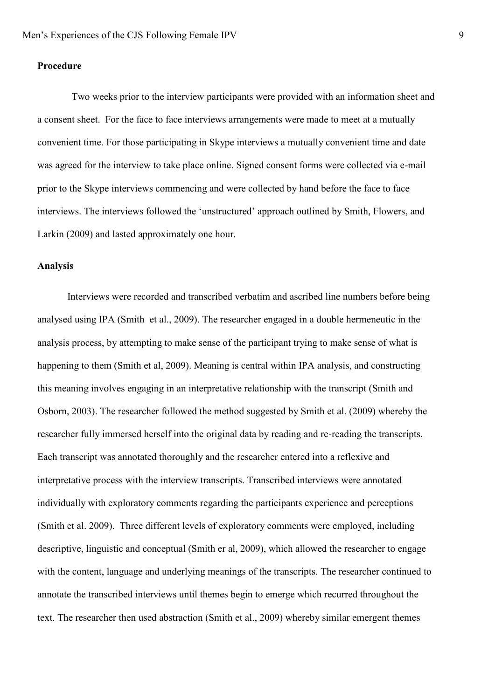### **Procedure**

Two weeks prior to the interview participants were provided with an information sheet and a consent sheet. For the face to face interviews arrangements were made to meet at a mutually convenient time. For those participating in Skype interviews a mutually convenient time and date was agreed for the interview to take place online. Signed consent forms were collected via e-mail prior to the Skype interviews commencing and were collected by hand before the face to face interviews. The interviews followed the 'unstructured' approach outlined by Smith, Flowers, and Larkin (2009) and lasted approximately one hour.

#### **Analysis**

Interviews were recorded and transcribed verbatim and ascribed line numbers before being analysed using IPA (Smith et al., 2009). The researcher engaged in a double hermeneutic in the analysis process, by attempting to make sense of the participant trying to make sense of what is happening to them (Smith et al, 2009). Meaning is central within IPA analysis, and constructing this meaning involves engaging in an interpretative relationship with the transcript (Smith and Osborn, 2003). The researcher followed the method suggested by Smith et al. (2009) whereby the researcher fully immersed herself into the original data by reading and re-reading the transcripts. Each transcript was annotated thoroughly and the researcher entered into a reflexive and interpretative process with the interview transcripts. Transcribed interviews were annotated individually with exploratory comments regarding the participants experience and perceptions (Smith et al. 2009). Three different levels of exploratory comments were employed, including descriptive, linguistic and conceptual (Smith er al, 2009), which allowed the researcher to engage with the content, language and underlying meanings of the transcripts. The researcher continued to annotate the transcribed interviews until themes begin to emerge which recurred throughout the text. The researcher then used abstraction (Smith et al., 2009) whereby similar emergent themes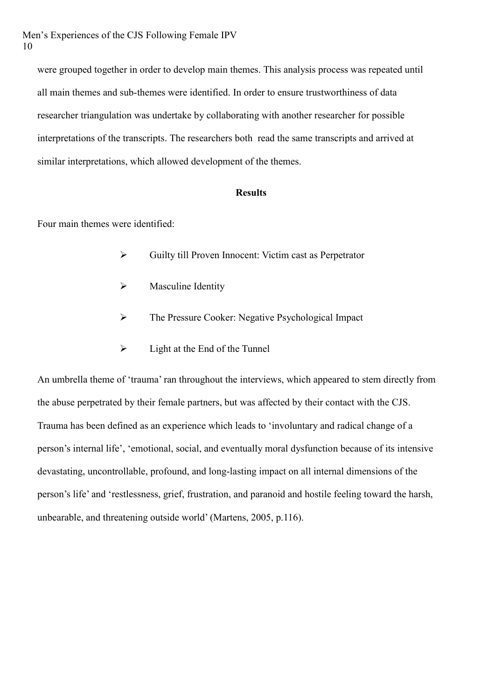were grouped together in order to develop main themes. This analysis process was repeated until all main themes and sub-themes were identified. In order to ensure trustworthiness of data researcher triangulation was undertake by collaborating with another researcher for possible interpretations of the transcripts. The researchers both read the same transcripts and arrived at similar interpretations, which allowed development of the themes.

### **Results**

Four main themes were identified:

- Guilty till Proven Innocent: Victim cast as Perpetrator
- $\triangleright$  Masculine Identity
- $\triangleright$  The Pressure Cooker: Negative Psychological Impact
- $\triangleright$  Light at the End of the Tunnel

An umbrella theme of 'trauma' ran throughout the interviews, which appeared to stem directly from the abuse perpetrated by their female partners, but was affected by their contact with the CJS. Trauma has been defined as an experience which leads to 'involuntary and radical change of a person's internal life', 'emotional, social, and eventually moral dysfunction because of its intensive devastating, uncontrollable, profound, and long-lasting impact on all internal dimensions of the person's life' and 'restlessness, grief, frustration, and paranoid and hostile feeling toward the harsh, unbearable, and threatening outside world' (Martens, 2005, p.116).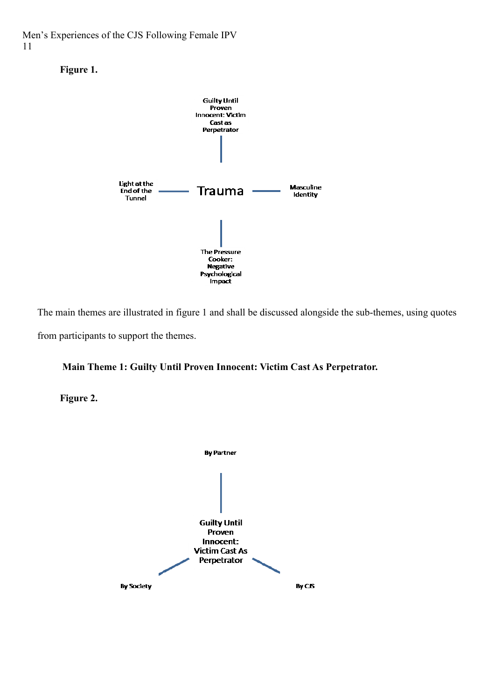Men's Experiences of the CJS Following Female IPV 11





The main themes are illustrated in figure 1 and shall be discussed alongside the sub-themes, using quotes from participants to support the themes.

# **Main Theme 1: Guilty Until Proven Innocent: Victim Cast As Perpetrator.**

**Figure 2.**

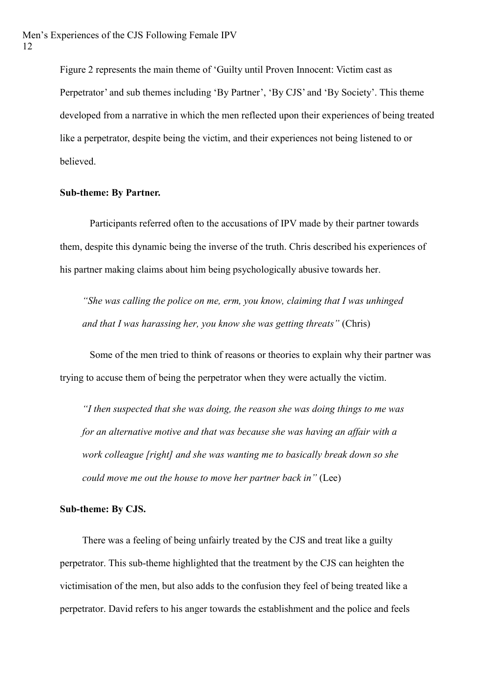Figure 2 represents the main theme of 'Guilty until Proven Innocent: Victim cast as Perpetrator' and sub themes including 'By Partner', 'By CJS' and 'By Society'. This theme developed from a narrative in which the men reflected upon their experiences of being treated like a perpetrator, despite being the victim, and their experiences not being listened to or believed.

#### **Sub-theme: By Partner.**

Participants referred often to the accusations of IPV made by their partner towards them, despite this dynamic being the inverse of the truth. Chris described his experiences of his partner making claims about him being psychologically abusive towards her.

*"She was calling the police on me, erm, you know, claiming that I was unhinged and that I was harassing her, you know she was getting threats"* (Chris)

Some of the men tried to think of reasons or theories to explain why their partner was trying to accuse them of being the perpetrator when they were actually the victim.

*"I then suspected that she was doing, the reason she was doing things to me was for an alternative motive and that was because she was having an affair with a work colleague [right] and she was wanting me to basically break down so she could move me out the house to move her partner back in"* (Lee)

#### **Sub-theme: By CJS.**

There was a feeling of being unfairly treated by the CJS and treat like a guilty perpetrator. This sub-theme highlighted that the treatment by the CJS can heighten the victimisation of the men, but also adds to the confusion they feel of being treated like a perpetrator. David refers to his anger towards the establishment and the police and feels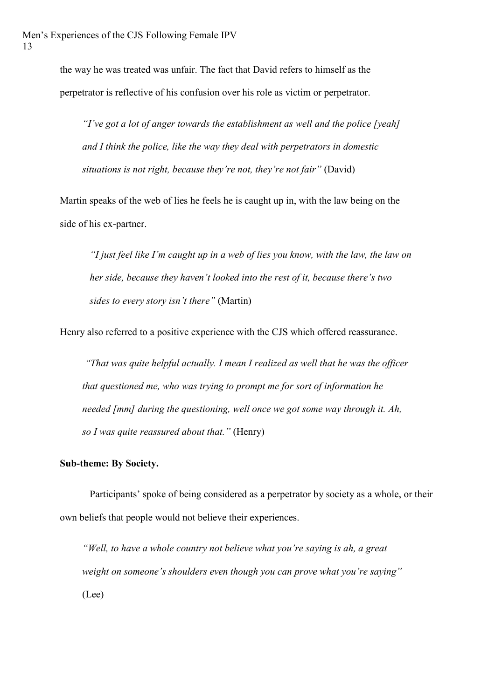the way he was treated was unfair. The fact that David refers to himself as the perpetrator is reflective of his confusion over his role as victim or perpetrator.

*"I've got a lot of anger towards the establishment as well and the police [yeah] and I think the police, like the way they deal with perpetrators in domestic situations is not right, because they're not, they're not fair"* (David)

Martin speaks of the web of lies he feels he is caught up in, with the law being on the side of his ex-partner.

*"I just feel like I'm caught up in a web of lies you know, with the law, the law on her side, because they haven't looked into the rest of it, because there's two sides to every story isn't there"* (Martin)

Henry also referred to a positive experience with the CJS which offered reassurance.

*"That was quite helpful actually. I mean I realized as well that he was the officer that questioned me, who was trying to prompt me for sort of information he needed [mm] during the questioning, well once we got some way through it. Ah, so I was quite reassured about that."* (Henry)

### **Sub-theme: By Society.**

Participants' spoke of being considered as a perpetrator by society as a whole, or their own beliefs that people would not believe their experiences.

*"Well, to have a whole country not believe what you're saying is ah, a great weight on someone's shoulders even though you can prove what you're saying"* (Lee)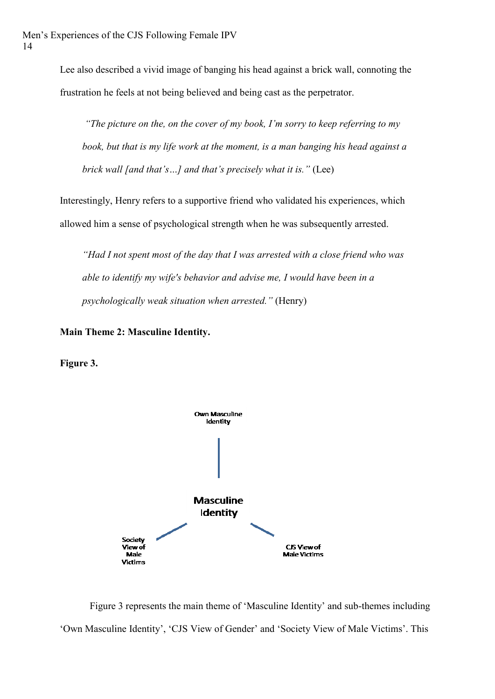Lee also described a vivid image of banging his head against a brick wall, connoting the frustration he feels at not being believed and being cast as the perpetrator.

*"The picture on the, on the cover of my book, I'm sorry to keep referring to my book, but that is my life work at the moment, is a man banging his head against a brick wall [and that's…] and that's precisely what it is."* (Lee)

Interestingly, Henry refers to a supportive friend who validated his experiences, which allowed him a sense of psychological strength when he was subsequently arrested.

*"Had I not spent most of the day that I was arrested with a close friend who was able to identify my wife's behavior and advise me, I would have been in a psychologically weak situation when arrested."* (Henry)

**Main Theme 2: Masculine Identity.** 

**Figure 3.**



Figure 3 represents the main theme of 'Masculine Identity' and sub-themes including 'Own Masculine Identity', 'CJS View of Gender' and 'Society View of Male Victims'. This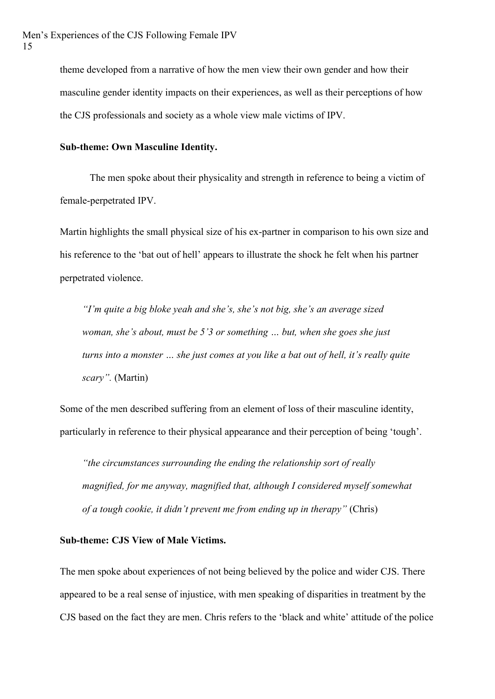theme developed from a narrative of how the men view their own gender and how their masculine gender identity impacts on their experiences, as well as their perceptions of how the CJS professionals and society as a whole view male victims of IPV.

#### **Sub-theme: Own Masculine Identity.**

The men spoke about their physicality and strength in reference to being a victim of female-perpetrated IPV.

Martin highlights the small physical size of his ex-partner in comparison to his own size and his reference to the 'bat out of hell' appears to illustrate the shock he felt when his partner perpetrated violence.

*"I'm quite a big bloke yeah and she's, she's not big, she's an average sized woman, she's about, must be 5'3 or something … but, when she goes she just turns into a monster … she just comes at you like a bat out of hell, it's really quite scary".* (Martin)

Some of the men described suffering from an element of loss of their masculine identity, particularly in reference to their physical appearance and their perception of being 'tough'.

*"the circumstances surrounding the ending the relationship sort of really magnified, for me anyway, magnified that, although I considered myself somewhat of a tough cookie, it didn't prevent me from ending up in therapy"* (Chris)

### **Sub-theme: CJS View of Male Victims.**

The men spoke about experiences of not being believed by the police and wider CJS. There appeared to be a real sense of injustice, with men speaking of disparities in treatment by the CJS based on the fact they are men. Chris refers to the 'black and white' attitude of the police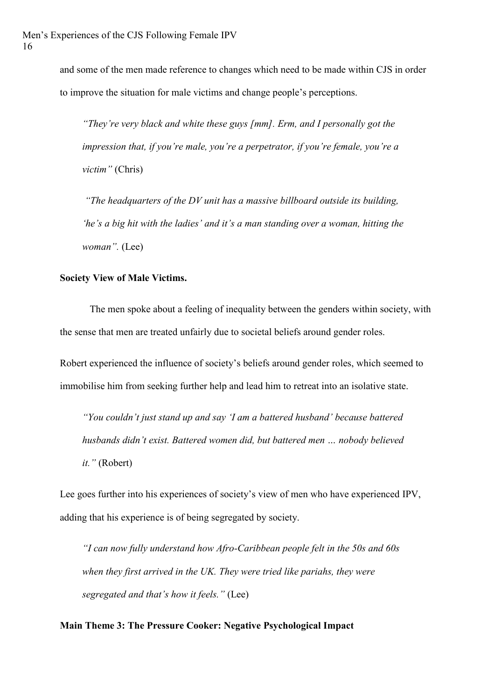and some of the men made reference to changes which need to be made within CJS in order to improve the situation for male victims and change people's perceptions.

*"They're very black and white these guys [mm]. Erm, and I personally got the impression that, if you're male, you're a perpetrator, if you're female, you're a victim"* (Chris)

*"The headquarters of the DV unit has a massive billboard outside its building, 'he's a big hit with the ladies' and it's a man standing over a woman, hitting the woman".* (Lee)

# **Society View of Male Victims.**

The men spoke about a feeling of inequality between the genders within society, with the sense that men are treated unfairly due to societal beliefs around gender roles.

Robert experienced the influence of society's beliefs around gender roles, which seemed to immobilise him from seeking further help and lead him to retreat into an isolative state.

*"You couldn't just stand up and say 'I am a battered husband' because battered husbands didn't exist. Battered women did, but battered men … nobody believed it."* (Robert)

Lee goes further into his experiences of society's view of men who have experienced IPV, adding that his experience is of being segregated by society.

*"I can now fully understand how Afro-Caribbean people felt in the 50s and 60s when they first arrived in the UK. They were tried like pariahs, they were segregated and that's how it feels."* (Lee)

# **Main Theme 3: The Pressure Cooker: Negative Psychological Impact**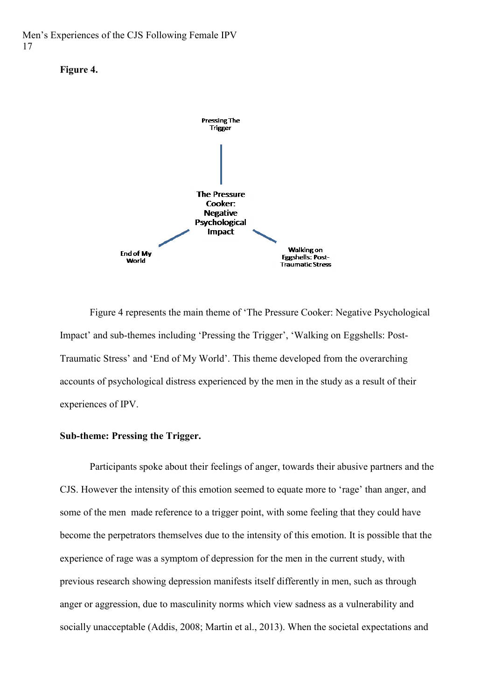Men's Experiences of the CJS Following Female IPV 17





Figure 4 represents the main theme of 'The Pressure Cooker: Negative Psychological Impact' and sub-themes including 'Pressing the Trigger', 'Walking on Eggshells: Post-Traumatic Stress' and 'End of My World'. This theme developed from the overarching accounts of psychological distress experienced by the men in the study as a result of their experiences of IPV.

# **Sub-theme: Pressing the Trigger.**

Participants spoke about their feelings of anger, towards their abusive partners and the CJS. However the intensity of this emotion seemed to equate more to 'rage' than anger, and some of the men made reference to a trigger point, with some feeling that they could have become the perpetrators themselves due to the intensity of this emotion. It is possible that the experience of rage was a symptom of depression for the men in the current study, with previous research showing depression manifests itself differently in men, such as through anger or aggression, due to masculinity norms which view sadness as a vulnerability and socially unacceptable (Addis, 2008; Martin et al., 2013). When the societal expectations and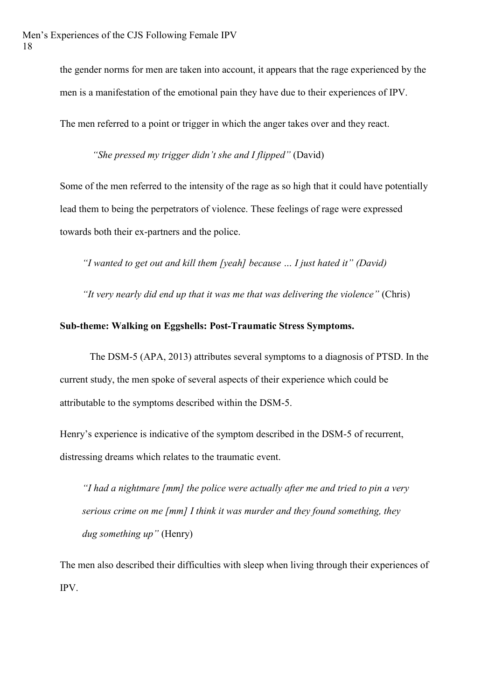the gender norms for men are taken into account, it appears that the rage experienced by the men is a manifestation of the emotional pain they have due to their experiences of IPV.

The men referred to a point or trigger in which the anger takes over and they react.

*"She pressed my trigger didn't she and I flipped"* (David)

Some of the men referred to the intensity of the rage as so high that it could have potentially lead them to being the perpetrators of violence. These feelings of rage were expressed towards both their ex-partners and the police.

*"I wanted to get out and kill them [yeah] because … I just hated it" (David)* 

*"It very nearly did end up that it was me that was delivering the violence"* (Chris)

# **Sub-theme: Walking on Eggshells: Post-Traumatic Stress Symptoms.**

The DSM-5 (APA, 2013) attributes several symptoms to a diagnosis of PTSD. In the current study, the men spoke of several aspects of their experience which could be attributable to the symptoms described within the DSM-5.

Henry's experience is indicative of the symptom described in the DSM-5 of recurrent, distressing dreams which relates to the traumatic event.

*"I had a nightmare [mm] the police were actually after me and tried to pin a very serious crime on me [mm] I think it was murder and they found something, they dug something up"* (Henry)

The men also described their difficulties with sleep when living through their experiences of IPV.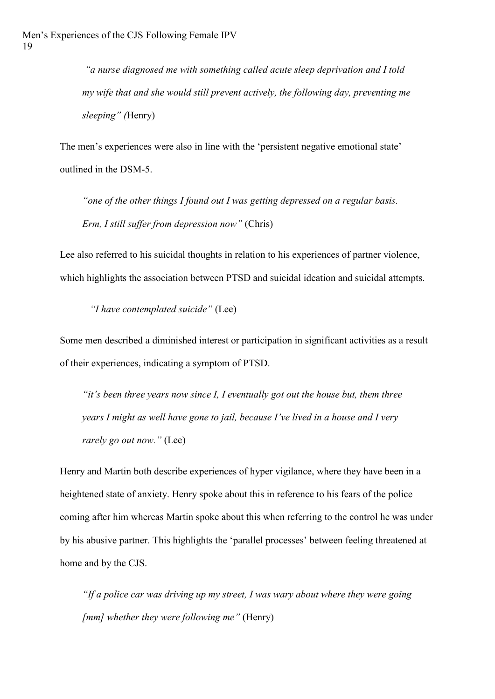*"a nurse diagnosed me with something called acute sleep deprivation and I told my wife that and she would still prevent actively, the following day, preventing me sleeping" (*Henry)

The men's experiences were also in line with the 'persistent negative emotional state' outlined in the DSM-5.

*"one of the other things I found out I was getting depressed on a regular basis. Erm, I still suffer from depression now"* (Chris)

Lee also referred to his suicidal thoughts in relation to his experiences of partner violence, which highlights the association between PTSD and suicidal ideation and suicidal attempts.

*"I have contemplated suicide"* (Lee)

Some men described a diminished interest or participation in significant activities as a result of their experiences, indicating a symptom of PTSD.

*"it's been three years now since I, I eventually got out the house but, them three years I might as well have gone to jail, because I've lived in a house and I very rarely go out now."* (Lee)

Henry and Martin both describe experiences of hyper vigilance, where they have been in a heightened state of anxiety. Henry spoke about this in reference to his fears of the police coming after him whereas Martin spoke about this when referring to the control he was under by his abusive partner. This highlights the 'parallel processes' between feeling threatened at home and by the CJS.

*"If a police car was driving up my street, I was wary about where they were going [mm] whether they were following me"* (Henry)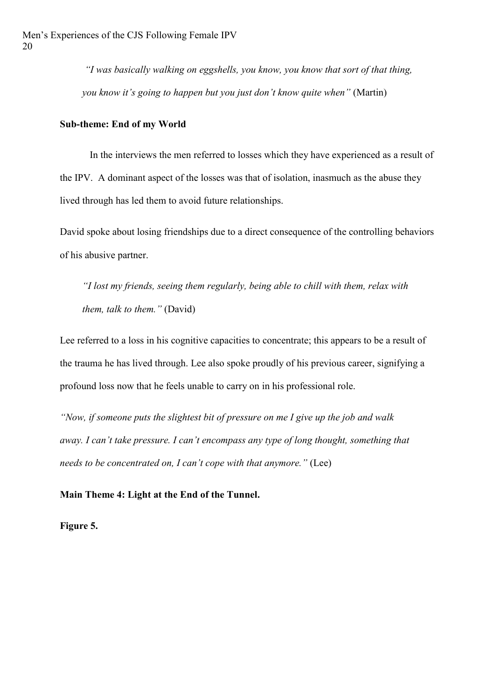*"I was basically walking on eggshells, you know, you know that sort of that thing, you know it's going to happen but you just don't know quite when"* (Martin)

# **Sub-theme: End of my World**

In the interviews the men referred to losses which they have experienced as a result of the IPV. A dominant aspect of the losses was that of isolation, inasmuch as the abuse they lived through has led them to avoid future relationships.

David spoke about losing friendships due to a direct consequence of the controlling behaviors of his abusive partner.

*"I lost my friends, seeing them regularly, being able to chill with them, relax with them, talk to them."* (David)

Lee referred to a loss in his cognitive capacities to concentrate; this appears to be a result of the trauma he has lived through. Lee also spoke proudly of his previous career, signifying a profound loss now that he feels unable to carry on in his professional role.

*"Now, if someone puts the slightest bit of pressure on me I give up the job and walk away. I can't take pressure. I can't encompass any type of long thought, something that needs to be concentrated on, I can't cope with that anymore."* (Lee)

**Main Theme 4: Light at the End of the Tunnel.** 

**Figure 5.**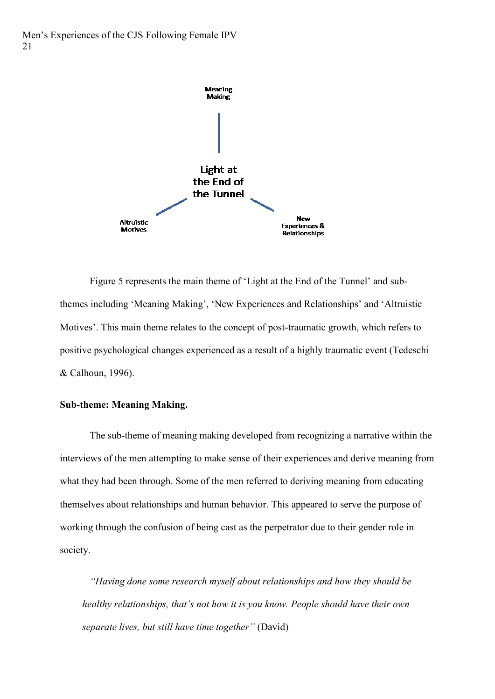

Figure 5 represents the main theme of 'Light at the End of the Tunnel' and subthemes including 'Meaning Making', 'New Experiences and Relationships' and 'Altruistic Motives'. This main theme relates to the concept of post-traumatic growth, which refers to positive psychological changes experienced as a result of a highly traumatic event (Tedeschi & Calhoun, 1996).

# **Sub-theme: Meaning Making.**

The sub-theme of meaning making developed from recognizing a narrative within the interviews of the men attempting to make sense of their experiences and derive meaning from what they had been through. Some of the men referred to deriving meaning from educating themselves about relationships and human behavior. This appeared to serve the purpose of working through the confusion of being cast as the perpetrator due to their gender role in society.

*"Having done some research myself about relationships and how they should be healthy relationships, that's not how it is you know. People should have their own separate lives, but still have time together"* (David)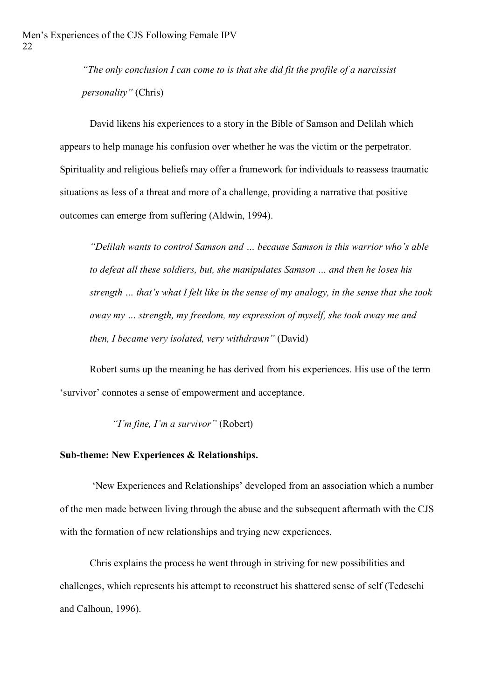*"The only conclusion I can come to is that she did fit the profile of a narcissist personality"* (Chris)

David likens his experiences to a story in the Bible of Samson and Delilah which appears to help manage his confusion over whether he was the victim or the perpetrator. Spirituality and religious beliefs may offer a framework for individuals to reassess traumatic situations as less of a threat and more of a challenge, providing a narrative that positive outcomes can emerge from suffering (Aldwin, 1994).

*"Delilah wants to control Samson and … because Samson is this warrior who's able to defeat all these soldiers, but, she manipulates Samson … and then he loses his strength … that's what I felt like in the sense of my analogy, in the sense that she took away my … strength, my freedom, my expression of myself, she took away me and then, I became very isolated, very withdrawn"* (David)

Robert sums up the meaning he has derived from his experiences. His use of the term 'survivor' connotes a sense of empowerment and acceptance.

*"I'm fine, I'm a survivor"* (Robert)

### **Sub-theme: New Experiences & Relationships.**

'New Experiences and Relationships' developed from an association which a number of the men made between living through the abuse and the subsequent aftermath with the CJS with the formation of new relationships and trying new experiences.

Chris explains the process he went through in striving for new possibilities and challenges, which represents his attempt to reconstruct his shattered sense of self (Tedeschi and Calhoun, 1996).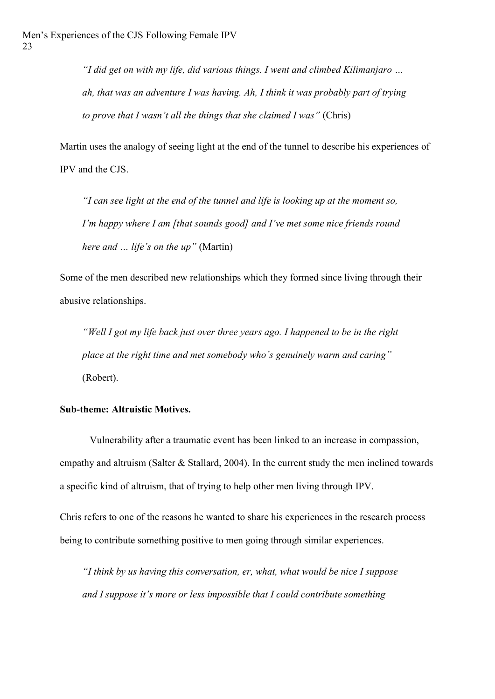*"I did get on with my life, did various things. I went and climbed Kilimanjaro … ah, that was an adventure I was having. Ah, I think it was probably part of trying to prove that I wasn't all the things that she claimed I was"* (Chris)

Martin uses the analogy of seeing light at the end of the tunnel to describe his experiences of IPV and the CJS.

*"I can see light at the end of the tunnel and life is looking up at the moment so, I'm happy where I am [that sounds good] and I've met some nice friends round here and … life's on the up"* (Martin)

Some of the men described new relationships which they formed since living through their abusive relationships.

*"Well I got my life back just over three years ago. I happened to be in the right place at the right time and met somebody who's genuinely warm and caring"* (Robert).

# **Sub-theme: Altruistic Motives.**

Vulnerability after a traumatic event has been linked to an increase in compassion, empathy and altruism (Salter & Stallard, 2004). In the current study the men inclined towards a specific kind of altruism, that of trying to help other men living through IPV.

Chris refers to one of the reasons he wanted to share his experiences in the research process being to contribute something positive to men going through similar experiences.

*"I think by us having this conversation, er, what, what would be nice I suppose and I suppose it's more or less impossible that I could contribute something*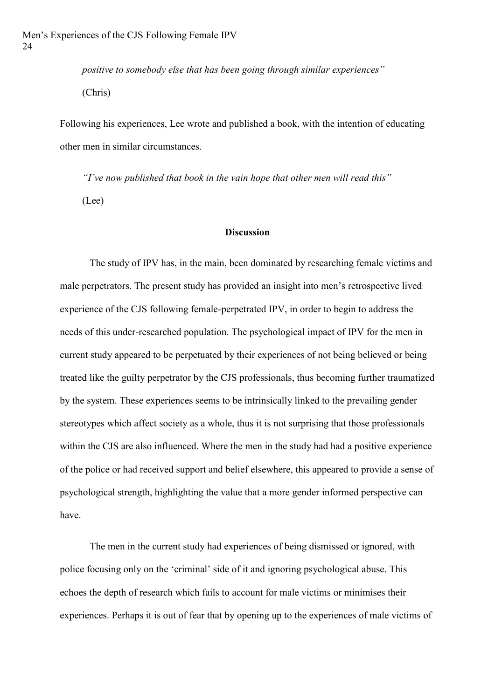*positive to somebody else that has been going through similar experiences"* (Chris)

Following his experiences, Lee wrote and published a book, with the intention of educating other men in similar circumstances.

*"I've now published that book in the vain hope that other men will read this"* (Lee)

### **Discussion**

The study of IPV has, in the main, been dominated by researching female victims and male perpetrators. The present study has provided an insight into men's retrospective lived experience of the CJS following female-perpetrated IPV, in order to begin to address the needs of this under-researched population. The psychological impact of IPV for the men in current study appeared to be perpetuated by their experiences of not being believed or being treated like the guilty perpetrator by the CJS professionals, thus becoming further traumatized by the system. These experiences seems to be intrinsically linked to the prevailing gender stereotypes which affect society as a whole, thus it is not surprising that those professionals within the CJS are also influenced. Where the men in the study had had a positive experience of the police or had received support and belief elsewhere, this appeared to provide a sense of psychological strength, highlighting the value that a more gender informed perspective can have.

The men in the current study had experiences of being dismissed or ignored, with police focusing only on the 'criminal' side of it and ignoring psychological abuse. This echoes the depth of research which fails to account for male victims or minimises their experiences. Perhaps it is out of fear that by opening up to the experiences of male victims of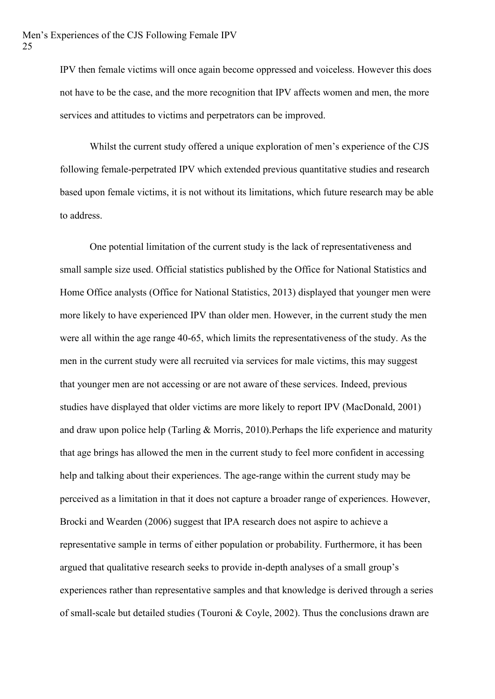IPV then female victims will once again become oppressed and voiceless. However this does not have to be the case, and the more recognition that IPV affects women and men, the more services and attitudes to victims and perpetrators can be improved.

Whilst the current study offered a unique exploration of men's experience of the CJS following female-perpetrated IPV which extended previous quantitative studies and research based upon female victims, it is not without its limitations, which future research may be able to address.

One potential limitation of the current study is the lack of representativeness and small sample size used. Official statistics published by the Office for National Statistics and Home Office analysts (Office for National Statistics, 2013) displayed that younger men were more likely to have experienced IPV than older men. However, in the current study the men were all within the age range 40-65, which limits the representativeness of the study. As the men in the current study were all recruited via services for male victims, this may suggest that younger men are not accessing or are not aware of these services. Indeed, previous studies have displayed that older victims are more likely to report IPV (MacDonald, 2001) and draw upon police help (Tarling & Morris, 2010).Perhaps the life experience and maturity that age brings has allowed the men in the current study to feel more confident in accessing help and talking about their experiences. The age-range within the current study may be perceived as a limitation in that it does not capture a broader range of experiences. However, Brocki and Wearden (2006) suggest that IPA research does not aspire to achieve a representative sample in terms of either population or probability. Furthermore, it has been argued that qualitative research seeks to provide in-depth analyses of a small group's experiences rather than representative samples and that knowledge is derived through a series of small-scale but detailed studies (Touroni & Coyle, 2002). Thus the conclusions drawn are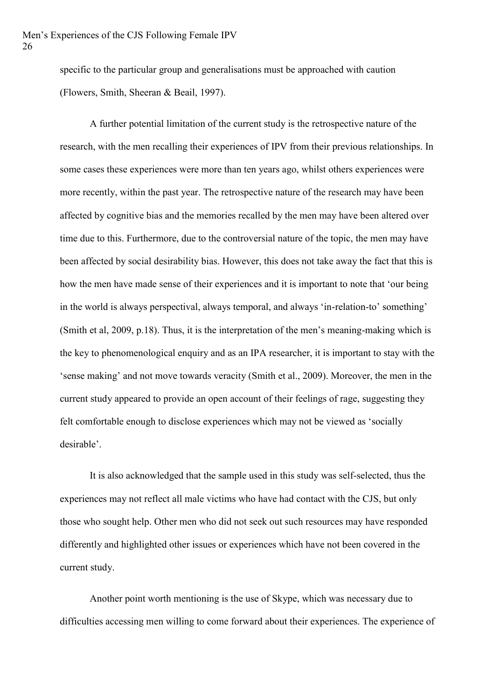specific to the particular group and generalisations must be approached with caution (Flowers, Smith, Sheeran & Beail, 1997).

A further potential limitation of the current study is the retrospective nature of the research, with the men recalling their experiences of IPV from their previous relationships. In some cases these experiences were more than ten years ago, whilst others experiences were more recently, within the past year. The retrospective nature of the research may have been affected by cognitive bias and the memories recalled by the men may have been altered over time due to this. Furthermore, due to the controversial nature of the topic, the men may have been affected by social desirability bias. However, this does not take away the fact that this is how the men have made sense of their experiences and it is important to note that 'our being in the world is always perspectival, always temporal, and always 'in-relation-to' something' (Smith et al, 2009, p.18). Thus, it is the interpretation of the men's meaning-making which is the key to phenomenological enquiry and as an IPA researcher, it is important to stay with the 'sense making' and not move towards veracity (Smith et al., 2009). Moreover, the men in the current study appeared to provide an open account of their feelings of rage, suggesting they felt comfortable enough to disclose experiences which may not be viewed as 'socially desirable'.

It is also acknowledged that the sample used in this study was self-selected, thus the experiences may not reflect all male victims who have had contact with the CJS, but only those who sought help. Other men who did not seek out such resources may have responded differently and highlighted other issues or experiences which have not been covered in the current study.

Another point worth mentioning is the use of Skype, which was necessary due to difficulties accessing men willing to come forward about their experiences. The experience of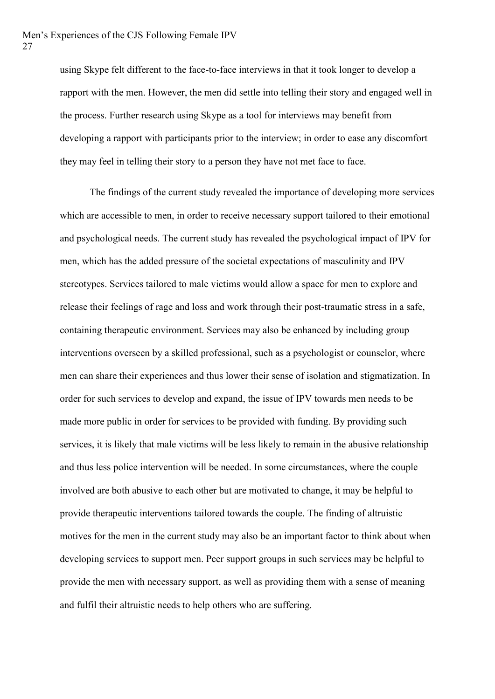using Skype felt different to the face-to-face interviews in that it took longer to develop a rapport with the men. However, the men did settle into telling their story and engaged well in the process. Further research using Skype as a tool for interviews may benefit from developing a rapport with participants prior to the interview; in order to ease any discomfort they may feel in telling their story to a person they have not met face to face.

The findings of the current study revealed the importance of developing more services which are accessible to men, in order to receive necessary support tailored to their emotional and psychological needs. The current study has revealed the psychological impact of IPV for men, which has the added pressure of the societal expectations of masculinity and IPV stereotypes. Services tailored to male victims would allow a space for men to explore and release their feelings of rage and loss and work through their post-traumatic stress in a safe, containing therapeutic environment. Services may also be enhanced by including group interventions overseen by a skilled professional, such as a psychologist or counselor, where men can share their experiences and thus lower their sense of isolation and stigmatization. In order for such services to develop and expand, the issue of IPV towards men needs to be made more public in order for services to be provided with funding. By providing such services, it is likely that male victims will be less likely to remain in the abusive relationship and thus less police intervention will be needed. In some circumstances, where the couple involved are both abusive to each other but are motivated to change, it may be helpful to provide therapeutic interventions tailored towards the couple. The finding of altruistic motives for the men in the current study may also be an important factor to think about when developing services to support men. Peer support groups in such services may be helpful to provide the men with necessary support, as well as providing them with a sense of meaning and fulfil their altruistic needs to help others who are suffering.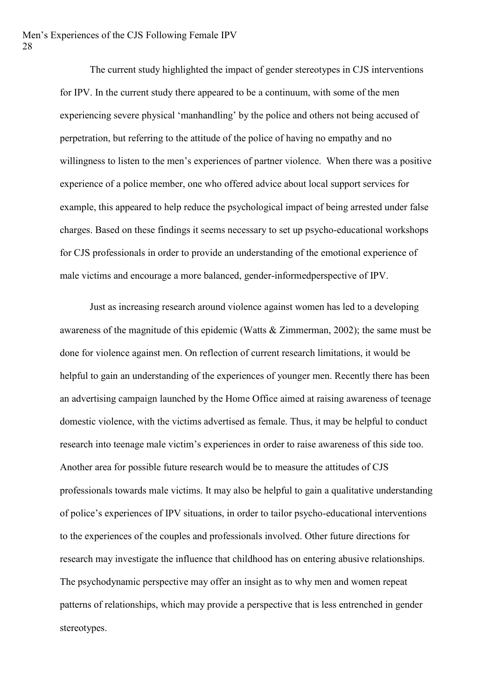The current study highlighted the impact of gender stereotypes in CJS interventions for IPV. In the current study there appeared to be a continuum, with some of the men experiencing severe physical 'manhandling' by the police and others not being accused of perpetration, but referring to the attitude of the police of having no empathy and no willingness to listen to the men's experiences of partner violence. When there was a positive experience of a police member, one who offered advice about local support services for example, this appeared to help reduce the psychological impact of being arrested under false charges. Based on these findings it seems necessary to set up psycho-educational workshops for CJS professionals in order to provide an understanding of the emotional experience of male victims and encourage a more balanced, gender-informedperspective of IPV.

Just as increasing research around violence against women has led to a developing awareness of the magnitude of this epidemic (Watts & Zimmerman, 2002); the same must be done for violence against men. On reflection of current research limitations, it would be helpful to gain an understanding of the experiences of younger men. Recently there has been an advertising campaign launched by the Home Office aimed at raising awareness of teenage domestic violence, with the victims advertised as female. Thus, it may be helpful to conduct research into teenage male victim's experiences in order to raise awareness of this side too. Another area for possible future research would be to measure the attitudes of CJS professionals towards male victims. It may also be helpful to gain a qualitative understanding of police's experiences of IPV situations, in order to tailor psycho-educational interventions to the experiences of the couples and professionals involved. Other future directions for research may investigate the influence that childhood has on entering abusive relationships. The psychodynamic perspective may offer an insight as to why men and women repeat patterns of relationships, which may provide a perspective that is less entrenched in gender stereotypes.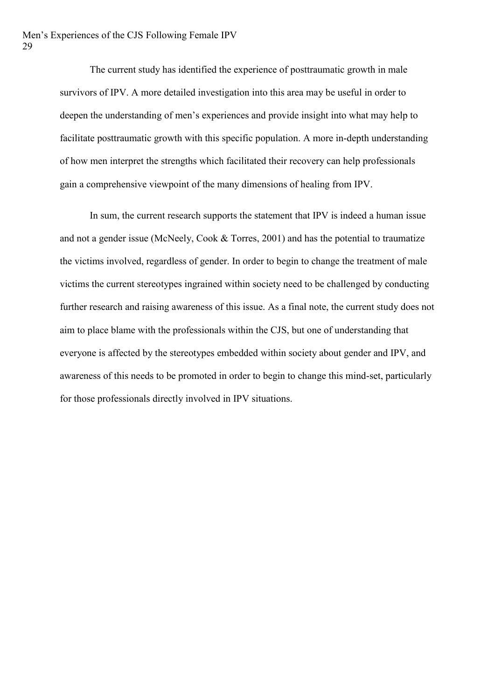The current study has identified the experience of posttraumatic growth in male survivors of IPV. A more detailed investigation into this area may be useful in order to deepen the understanding of men's experiences and provide insight into what may help to facilitate posttraumatic growth with this specific population. A more in-depth understanding of how men interpret the strengths which facilitated their recovery can help professionals gain a comprehensive viewpoint of the many dimensions of healing from IPV.

In sum, the current research supports the statement that IPV is indeed a human issue and not a gender issue (McNeely, Cook & Torres, 2001) and has the potential to traumatize the victims involved, regardless of gender. In order to begin to change the treatment of male victims the current stereotypes ingrained within society need to be challenged by conducting further research and raising awareness of this issue. As a final note, the current study does not aim to place blame with the professionals within the CJS, but one of understanding that everyone is affected by the stereotypes embedded within society about gender and IPV, and awareness of this needs to be promoted in order to begin to change this mind-set, particularly for those professionals directly involved in IPV situations.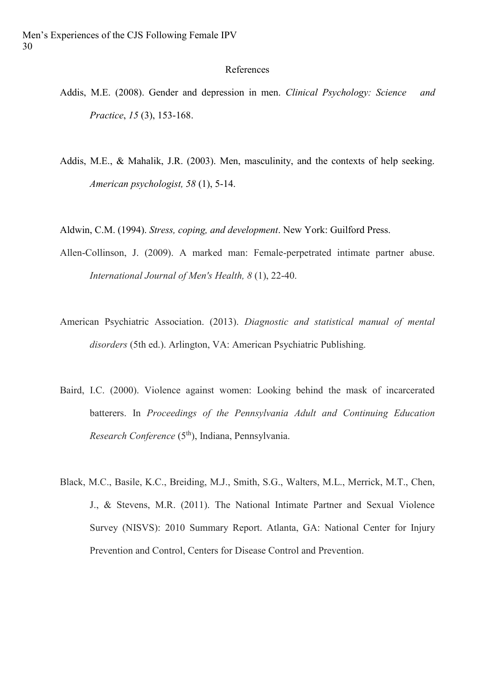#### References

- Addis, M.E. (2008). Gender and depression in men. *Clinical Psychology: Science and Practice*, *15* (3), 153-168.
- Addis, M.E., & Mahalik, J.R. (2003). Men, masculinity, and the contexts of help seeking. *American psychologist, 58* (1), 5-14.

Aldwin, C.M. (1994). *Stress, coping, and development*. New York: Guilford Press.

- Allen-Collinson, J. (2009). A marked man: Female-perpetrated intimate partner abuse. *International Journal of Men's Health, 8* (1), 22-40.
- American Psychiatric Association. (2013). *Diagnostic and statistical manual of mental disorders* (5th ed.). Arlington, VA: American Psychiatric Publishing.
- Baird, I.C. (2000). Violence against women: Looking behind the mask of incarcerated batterers. In *Proceedings of the Pennsylvania Adult and Continuing Education Research Conference* (5th), Indiana, Pennsylvania.
- Black, M.C., Basile, K.C., Breiding, M.J., Smith, S.G., Walters, M.L., Merrick, M.T., Chen, J., & Stevens, M.R. (2011). The National Intimate Partner and Sexual Violence Survey (NISVS): 2010 Summary Report. Atlanta, GA: National Center for Injury Prevention and Control, Centers for Disease Control and Prevention.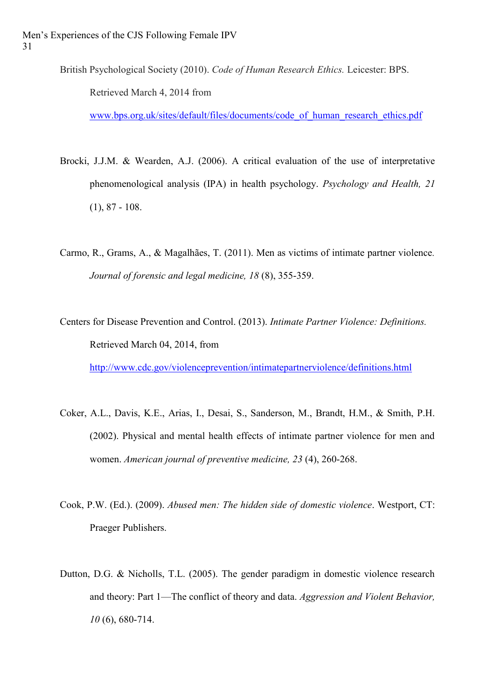British Psychological Society (2010). *Code of Human Research Ethics.* Leicester: BPS. Retrieved March 4, 2014 from

[www.bps.org.uk/sites/default/files/documents/code\\_of\\_human\\_research\\_ethics.pdf](http://www.bps.org.uk/sites/default/files/documents/code_of_human_research_ethics.pdf)

- Brocki, J.J.M. & Wearden, A.J. (2006). A critical evaluation of the use of interpretative phenomenological analysis (IPA) in health psychology. *Psychology and Health, 21*  (1), 87 - 108.
- Carmo, R., Grams, A., & Magalhães, T. (2011). Men as victims of intimate partner violence*. Journal of forensic and legal medicine, 18* (8), 355-359.
- Centers for Disease Prevention and Control. (2013). *Intimate Partner Violence: Definitions.* Retrieved March 04, 2014, from

<http://www.cdc.gov/violenceprevention/intimatepartnerviolence/definitions.html>

- Coker, A.L., Davis, K.E., Arias, I., Desai, S., Sanderson, M., Brandt, H.M., & Smith, P.H. (2002). Physical and mental health effects of intimate partner violence for men and women. *American journal of preventive medicine, 23* (4), 260-268.
- Cook, P.W. (Ed.). (2009). *Abused men: The hidden side of domestic violence*. Westport, CT: Praeger Publishers.
- Dutton, D.G. & Nicholls, T.L. (2005). The gender paradigm in domestic violence research and theory: Part 1—The conflict of theory and data. *Aggression and Violent Behavior, 10* (6), 680-714.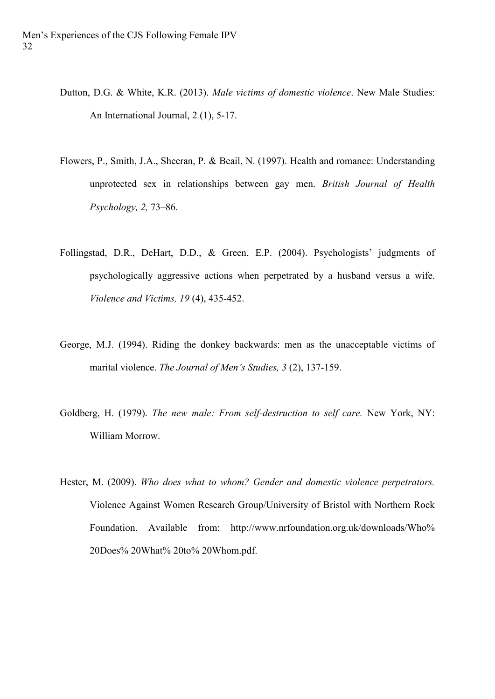- Dutton, D.G. & White, K.R. (2013). *Male victims of domestic violence*. New Male Studies: An International Journal, 2 (1), 5-17.
- Flowers, P., Smith, J.A., Sheeran, P. & Beail, N. (1997). Health and romance: Understanding unprotected sex in relationships between gay men. *British Journal of Health Psychology, 2,* 73–86.
- Follingstad, D.R., DeHart, D.D., & Green, E.P. (2004). Psychologists' judgments of psychologically aggressive actions when perpetrated by a husband versus a wife. *Violence and Victims, 19* (4), 435-452.
- George, M.J. (1994). Riding the donkey backwards: men as the unacceptable victims of marital violence. *The Journal of Men's Studies, 3* (2), 137-159.
- Goldberg, H. (1979). *The new male: From self-destruction to self care.* New York, NY: William Morrow.
- Hester, M. (2009). *Who does what to whom? Gender and domestic violence perpetrators.*  Violence Against Women Research Group/University of Bristol with Northern Rock Foundation. Available from: http://www.nrfoundation.org.uk/downloads/Who% 20Does% 20What% 20to% 20Whom.pdf.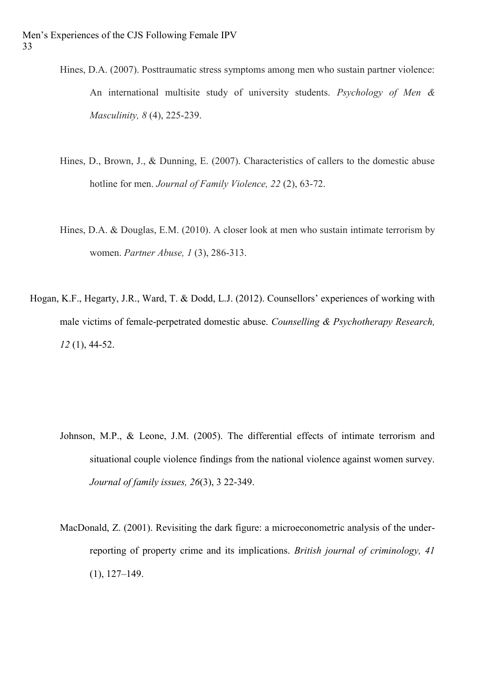- Hines, D.A. (2007). Posttraumatic stress symptoms among men who sustain partner violence: An international multisite study of university students. *Psychology of Men & Masculinity, 8* (4), 225-239.
- Hines, D., Brown, J., & Dunning, E. (2007). Characteristics of callers to the domestic abuse hotline for men. *Journal of Family Violence, 22* (2), 63-72.
- Hines, D.A. & Douglas, E.M. (2010). A closer look at men who sustain intimate terrorism by women. *Partner Abuse, 1* (3), 286-313.
- Hogan, K.F., Hegarty, J.R., Ward, T. & Dodd, L.J. (2012). Counsellors' experiences of working with male victims of female-perpetrated domestic abuse. *Counselling & Psychotherapy Research, 12* (1), 44-52.

- Johnson, M.P., & Leone, J.M. (2005). The differential effects of intimate terrorism and situational couple violence findings from the national violence against women survey. *Journal of family issues, 26*(3), 3 22-349.
- MacDonald, Z. (2001). Revisiting the dark figure: a microeconometric analysis of the underreporting of property crime and its implications. *British journal of criminology, 41*  (1), 127–149.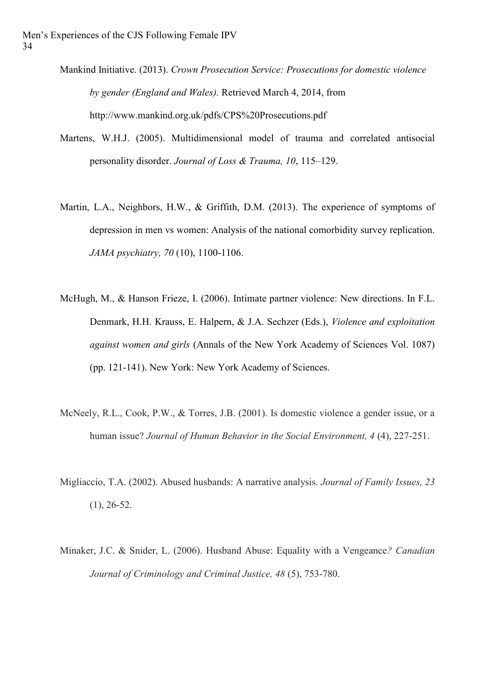- Mankind Initiative. (2013). *Crown Prosecution Service: Prosecutions for domestic violence by gender (England and Wales).* Retrieved March 4, 2014, from http://www.mankind.org.uk/pdfs/CPS%20Prosecutions.pdf
- Martens, W.H.J. (2005). Multidimensional model of trauma and correlated antisocial personality disorder. *Journal of Loss & Trauma, 10*, 115–129.
- Martin, L.A., Neighbors, H.W., & Griffith, D.M. (2013). The experience of symptoms of depression in men vs women: Analysis of the national comorbidity survey replication. *JAMA psychiatry, 70* (10), 1100-1106.
- McHugh, M., & Hanson Frieze, I. (2006). Intimate partner violence: New directions. In F.L. Denmark, H.H. Krauss, E. Halpern, & J.A. Sechzer (Eds.), *Violence and exploitation against women and girls* (Annals of the New York Academy of Sciences Vol. 1087) (pp. 121-141). New York: New York Academy of Sciences.
- McNeely, R.L., Cook, P.W., & Torres, J.B. (2001). Is domestic violence a gender issue, or a human issue? *Journal of Human Behavior in the Social Environment, 4* (4), 227-251.
- Migliaccio, T.A. (2002). Abused husbands: A narrative analysis. *Journal of Family Issues, 23*   $(1), 26-52.$
- Minaker, J.C. & Snider, L. (2006). Husband Abuse: Equality with a Vengeance*? Canadian Journal of Criminology and Criminal Justice, 48* (5), 753-780.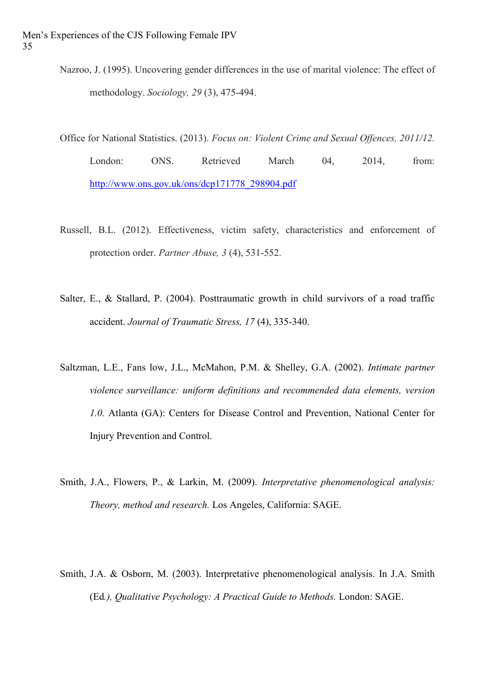Nazroo, J. (1995). Uncovering gender differences in the use of marital violence: The effect of methodology. *Sociology, 29* (3), 475-494.

Office for National Statistics. (2013). *Focus on: Violent Crime and Sexual Offences, 2011/12.*

London: ONS. Retrieved March 04, 2014, from: [http://www.ons.gov.uk/ons/dcp171778\\_298904.pdf](http://www.ons.gov.uk/ons/dcp171778_298904.pdf)

- Russell, B.L. (2012). Effectiveness, victim safety, characteristics and enforcement of protection order. *Partner Abuse, 3* (4), 531-552.
- Salter, E., & Stallard, P. (2004). Posttraumatic growth in child survivors of a road traffic accident. *Journal of Traumatic Stress, 17* (4), 335-340.
- Saltzman, L.E., Fans low, J.L., McMahon, P.M. & Shelley, G.A. (2002). *Intimate partner violence surveillance: uniform definitions and recommended data elements, version 1.0.* Atlanta (GA): Centers for Disease Control and Prevention, National Center for Injury Prevention and Control.
- Smith, J.A., Flowers, P., & Larkin, M. (2009). *Interpretative phenomenological analysis: Theory, method and research.* Los Angeles, California: SAGE.
- Smith, J.A. & Osborn, M. (2003). Interpretative phenomenological analysis. In J.A. Smith (Ed*.), Qualitative Psychology: A Practical Guide to Methods.* London: SAGE.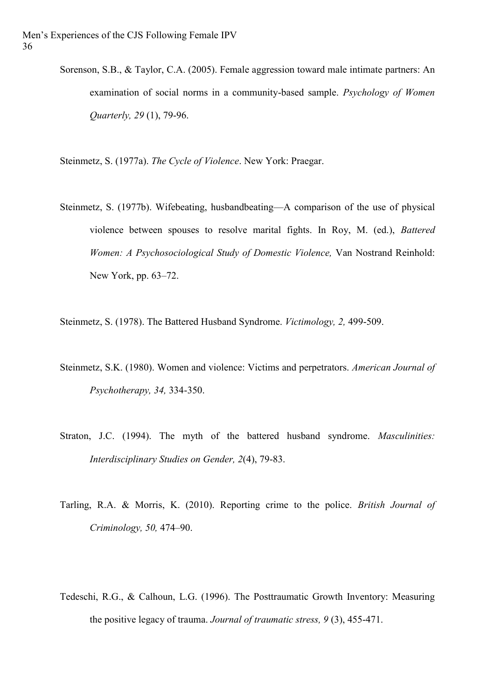Sorenson, S.B., & Taylor, C.A. (2005). Female aggression toward male intimate partners: An examination of social norms in a community-based sample. *Psychology of Women Quarterly, 29* (1), 79-96.

Steinmetz, S. (1977a). *The Cycle of Violence*. New York: Praegar.

Steinmetz, S. (1977b). Wifebeating, husbandbeating—A comparison of the use of physical violence between spouses to resolve marital fights. In Roy, M. (ed.), *Battered Women: A Psychosociological Study of Domestic Violence,* Van Nostrand Reinhold: New York, pp. 63–72.

Steinmetz, S. (1978). The Battered Husband Syndrome. *Victimology, 2,* 499-509.

- Steinmetz, S.K. (1980). Women and violence: Victims and perpetrators. *American Journal of Psychotherapy, 34,* 334-350.
- Straton, J.C. (1994). The myth of the battered husband syndrome. *Masculinities: Interdisciplinary Studies on Gender, 2*(4), 79-83.
- Tarling, R.A. & Morris, K. (2010). Reporting crime to the police. *British Journal of Criminology, 50,* 474–90.
- Tedeschi, R.G., & Calhoun, L.G. (1996). The Posttraumatic Growth Inventory: Measuring the positive legacy of trauma. *Journal of traumatic stress, 9* (3), 455-471.